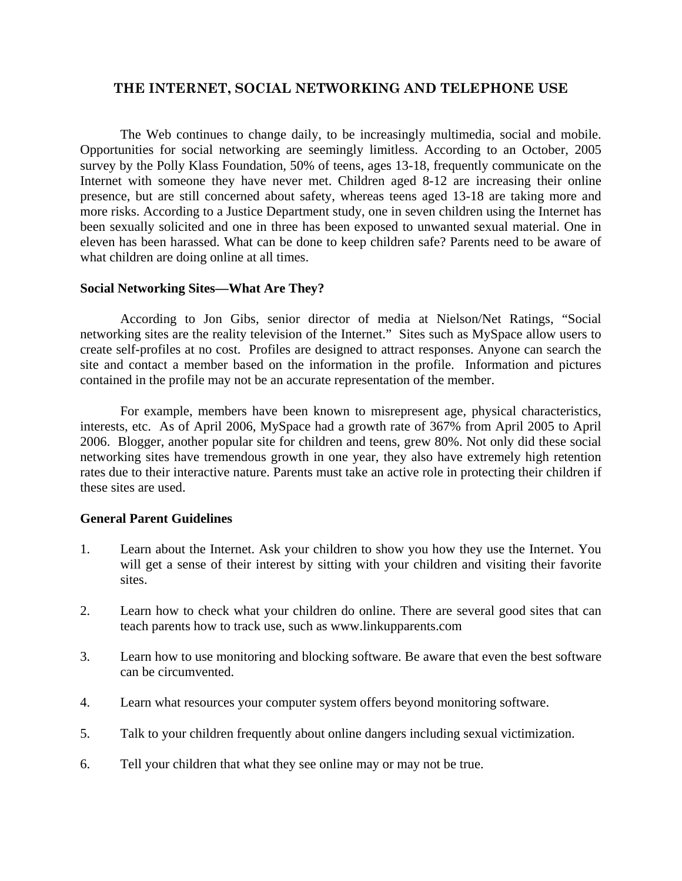# **THE INTERNET, SOCIAL NETWORKING AND TELEPHONE USE**

The Web continues to change daily, to be increasingly multimedia, social and mobile. Opportunities for social networking are seemingly limitless. According to an October, 2005 survey by the Polly Klass Foundation, 50% of teens, ages 13-18, frequently communicate on the Internet with someone they have never met. Children aged 8-12 are increasing their online presence, but are still concerned about safety, whereas teens aged 13-18 are taking more and more risks. According to a Justice Department study, one in seven children using the Internet has been sexually solicited and one in three has been exposed to unwanted sexual material. One in eleven has been harassed. What can be done to keep children safe? Parents need to be aware of what children are doing online at all times.

### **Social Networking Sites—What Are They?**

According to Jon Gibs, senior director of media at Nielson/Net Ratings, "Social networking sites are the reality television of the Internet." Sites such as MySpace allow users to create self-profiles at no cost. Profiles are designed to attract responses. Anyone can search the site and contact a member based on the information in the profile. Information and pictures contained in the profile may not be an accurate representation of the member.

For example, members have been known to misrepresent age, physical characteristics, interests, etc. As of April 2006, MySpace had a growth rate of 367% from April 2005 to April 2006. Blogger, another popular site for children and teens, grew 80%. Not only did these social networking sites have tremendous growth in one year, they also have extremely high retention rates due to their interactive nature. Parents must take an active role in protecting their children if these sites are used.

#### **General Parent Guidelines**

- 1. Learn about the Internet. Ask your children to show you how they use the Internet. You will get a sense of their interest by sitting with your children and visiting their favorite sites.
- 2. Learn how to check what your children do online. There are several good sites that can teach parents how to track use, such as www.linkupparents.com
- 3. Learn how to use monitoring and blocking software. Be aware that even the best software can be circumvented.
- 4. Learn what resources your computer system offers beyond monitoring software.
- 5. Talk to your children frequently about online dangers including sexual victimization.
- 6. Tell your children that what they see online may or may not be true.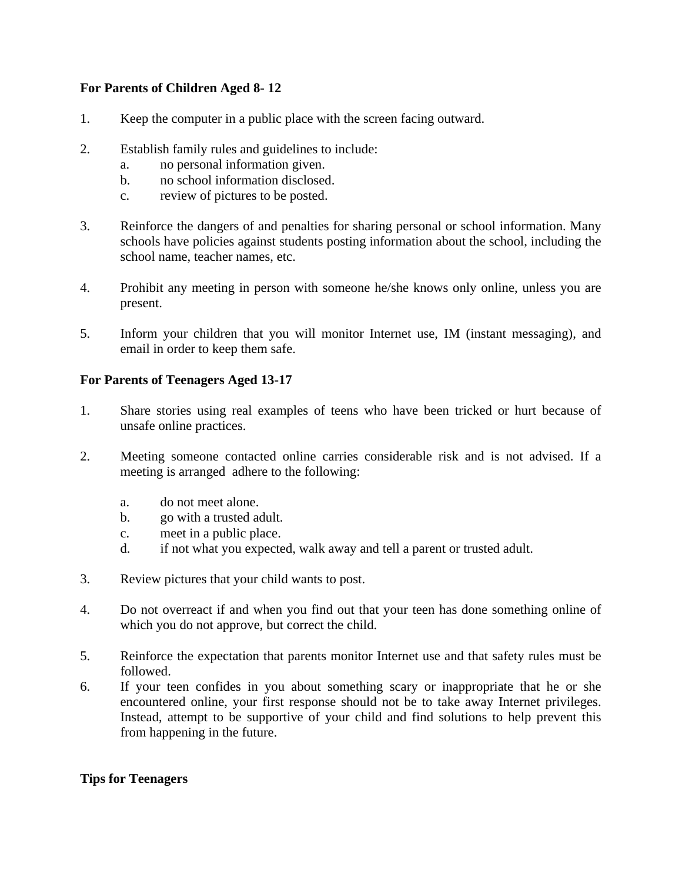# **For Parents of Children Aged 8- 12**

- 1. Keep the computer in a public place with the screen facing outward.
- 2. Establish family rules and guidelines to include:
	- a. no personal information given.
	- b. no school information disclosed.
	- c. review of pictures to be posted.
- 3. Reinforce the dangers of and penalties for sharing personal or school information. Many schools have policies against students posting information about the school, including the school name, teacher names, etc.
- 4. Prohibit any meeting in person with someone he/she knows only online, unless you are present.
- 5. Inform your children that you will monitor Internet use, IM (instant messaging), and email in order to keep them safe.

## **For Parents of Teenagers Aged 13-17**

- 1. Share stories using real examples of teens who have been tricked or hurt because of unsafe online practices.
- 2. Meeting someone contacted online carries considerable risk and is not advised. If a meeting is arranged adhere to the following:
	- a. do not meet alone.
	- b. go with a trusted adult.
	- c. meet in a public place.
	- d. if not what you expected, walk away and tell a parent or trusted adult.
- 3. Review pictures that your child wants to post.
- 4. Do not overreact if and when you find out that your teen has done something online of which you do not approve, but correct the child.
- 5. Reinforce the expectation that parents monitor Internet use and that safety rules must be followed.
- 6. If your teen confides in you about something scary or inappropriate that he or she encountered online, your first response should not be to take away Internet privileges. Instead, attempt to be supportive of your child and find solutions to help prevent this from happening in the future.

#### **Tips for Teenagers**